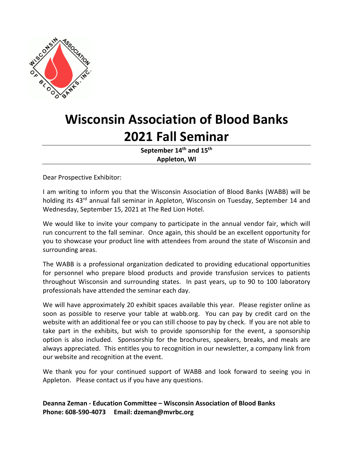

# **Wisconsin Association of Blood Banks 2021 Fall Seminar**

September 14<sup>th</sup> and 15<sup>th</sup> **Appleton, WI** 

Dear Prospective Exhibitor:

I am writing to inform you that the Wisconsin Association of Blood Banks (WABB) will be holding its 43<sup>rd</sup> annual fall seminar in Appleton, Wisconsin on Tuesday, September 14 and Wednesday, September 15, 2021 at The Red Lion Hotel.

We would like to invite your company to participate in the annual vendor fair, which will run concurrent to the fall seminar. Once again, this should be an excellent opportunity for you to showcase your product line with attendees from around the state of Wisconsin and surrounding areas.

The WABB is a professional organization dedicated to providing educational opportunities for personnel who prepare blood products and provide transfusion services to patients throughout Wisconsin and surrounding states. In past years, up to 90 to 100 laboratory professionals have attended the seminar each day.

We will have approximately 20 exhibit spaces available this year. Please register online as soon as possible to reserve your table at wabb.org. You can pay by credit card on the website with an additional fee or you can still choose to pay by check. If you are not able to take part in the exhibits, but wish to provide sponsorship for the event, a sponsorship option is also included. Sponsorship for the brochures, speakers, breaks, and meals are always appreciated. This entitles you to recognition in our newsletter, a company link from our website and recognition at the event.

We thank you for your continued support of WABB and look forward to seeing you in Appleton. Please contact us if you have any questions.

**Deanna Zeman ‐ Education Committee – Wisconsin Association of Blood Banks Phone: 608‐590‐4073 Email: dzeman@mvrbc.org**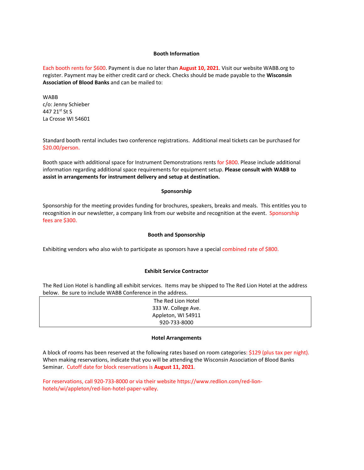# **Booth Information**

Each booth rents for \$600. Payment is due no later than **August 10, 2021**. Visit our website WABB.org to register. Payment may be either credit card or check. Checks should be made payable to the **Wisconsin Association of Blood Banks** and can be mailed to:

WABB c/o: Jenny Schieber 447 21st St S La Crosse WI 54601

Standard booth rental includes two conference registrations. Additional meal tickets can be purchased for \$20.00/person.

Booth space with additional space for Instrument Demonstrations rents for \$800. Please include additional information regarding additional space requirements for equipment setup. **Please consult with WABB to assist in arrangements for instrument delivery and setup at destination.** 

### **Sponsorship**

Sponsorship for the meeting provides funding for brochures, speakers, breaks and meals. This entitles you to recognition in our newsletter, a company link from our website and recognition at the event. Sponsorship fees are \$300.

### **Booth and Sponsorship**

Exhibiting vendors who also wish to participate as sponsors have a special combined rate of \$800.

#### **Exhibit Service Contractor**

The Red Lion Hotel is handling all exhibit services. Items may be shipped to The Red Lion Hotel at the address below. Be sure to include WABB Conference in the address.

| The Red Lion Hotel  |
|---------------------|
| 333 W. College Ave. |
| Appleton, WI 54911  |
| 920-733-8000        |

#### **Hotel Arrangements**

A block of rooms has been reserved at the following rates based on room categories: \$129 (plus tax per night). When making reservations, indicate that you will be attending the Wisconsin Association of Blood Banks Seminar. Cutoff date for block reservations is **August 11, 2021**.

For reservations, call 920‐733‐8000 or via their website https://www.redlion.com/red‐lion‐ hotels/wi/appleton/red‐lion‐hotel‐paper‐valley.